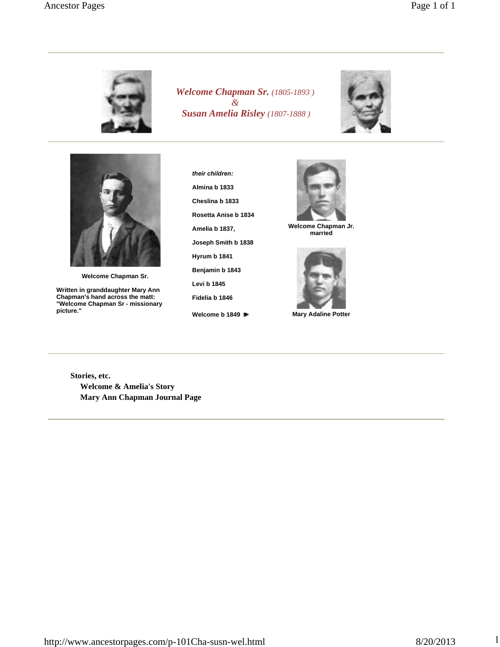

*Welcome Chapman Sr. (1805-1893 ) & Susan Amelia Risley (1807-1888 )*





**Welcome Chapman Sr.**

**Written in granddaughter Mary Ann Chapman's hand across the matt: "Welcome Chapman Sr - missionary picture."**

**their children: Almina b 1833 Cheslina b 1833 Rosetta Anise b 1834 Amelia b 1837, Joseph Smith b 1838 Hyrum b 1841 Benjamin b 1843 Levi b 1845 Fidelia b 1846 Welcome b 1849**



**Welcome Chapman Jr. married**



**Mary Adaline Potter**

**Stories, etc. Welcome & Amelia's Story Mary Ann Chapman Journal Page**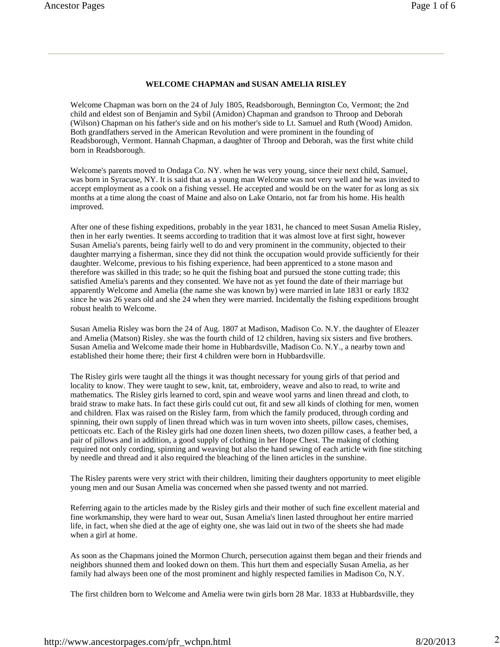## **WELCOME CHAPMAN and SUSAN AMELIA RISLEY**

Welcome Chapman was born on the 24 of July 1805, Readsborough, Bennington Co, Vermont; the 2nd child and eldest son of Benjamin and Sybil (Amidon) Chapman and grandson to Throop and Deborah (Wilson) Chapman on his father's side and on his mother's side to Lt. Samuel and Ruth (Wood) Amidon. Both grandfathers served in the American Revolution and were prominent in the founding of Readsborough, Vermont. Hannah Chapman, a daughter of Throop and Deborah, was the first white child born in Readsborough.

Welcome's parents moved to Ondaga Co. NY. when he was very young, since their next child, Samuel, was born in Syracuse, NY. It is said that as a young man Welcome was not very well and he was invited to accept employment as a cook on a fishing vessel. He accepted and would be on the water for as long as six months at a time along the coast of Maine and also on Lake Ontario, not far from his home. His health improved.

After one of these fishing expeditions, probably in the year 1831, he chanced to meet Susan Amelia Risley, then in her early twenties. It seems according to tradition that it was almost love at first sight, however Susan Amelia's parents, being fairly well to do and very prominent in the community, objected to their daughter marrying a fisherman, since they did not think the occupation would provide sufficiently for their daughter. Welcome, previous to his fishing experience, had been apprenticed to a stone mason and therefore was skilled in this trade; so he quit the fishing boat and pursued the stone cutting trade; this satisfied Amelia's parents and they consented. We have not as yet found the date of their marriage but apparently Welcome and Amelia (the name she was known by) were married in late 1831 or early 1832 since he was 26 years old and she 24 when they were married. Incidentally the fishing expeditions brought robust health to Welcome.

Susan Amelia Risley was born the 24 of Aug. 1807 at Madison, Madison Co. N.Y. the daughter of Eleazer and Amelia (Matson) Risley. she was the fourth child of 12 children, having six sisters and five brothers. Susan Amelia and Welcome made their home in Hubbardsville, Madison Co. N.Y., a nearby town and established their home there; their first 4 children were born in Hubbardsville.

The Risley girls were taught all the things it was thought necessary for young girls of that period and locality to know. They were taught to sew, knit, tat, embroidery, weave and also to read, to write and mathematics. The Risley girls learned to cord, spin and weave wool yarns and linen thread and cloth, to braid straw to make hats. In fact these girls could cut out, fit and sew all kinds of clothing for men, women and children. Flax was raised on the Risley farm, from which the family produced, through cording and spinning, their own supply of linen thread which was in turn woven into sheets, pillow cases, chemises, petticoats etc. Each of the Risley girls had one dozen linen sheets, two dozen pillow cases, a feather bed, a pair of pillows and in addition, a good supply of clothing in her Hope Chest. The making of clothing required not only cording, spinning and weaving but also the hand sewing of each article with fine stitching by needle and thread and it also required the bleaching of the linen articles in the sunshine.

The Risley parents were very strict with their children, limiting their daughters opportunity to meet eligible young men and our Susan Amelia was concerned when she passed twenty and not married.

Referring again to the articles made by the Risley girls and their mother of such fine excellent material and fine workmanship, they were hard to wear out, Susan Amelia's linen lasted throughout her entire married life, in fact, when she died at the age of eighty one, she was laid out in two of the sheets she had made when a girl at home.

As soon as the Chapmans joined the Mormon Church, persecution against them began and their friends and neighbors shunned them and looked down on them. This hurt them and especially Susan Amelia, as her family had always been one of the most prominent and highly respected families in Madison Co, N.Y.

The first children born to Welcome and Amelia were twin girls born 28 Mar. 1833 at Hubbardsville, they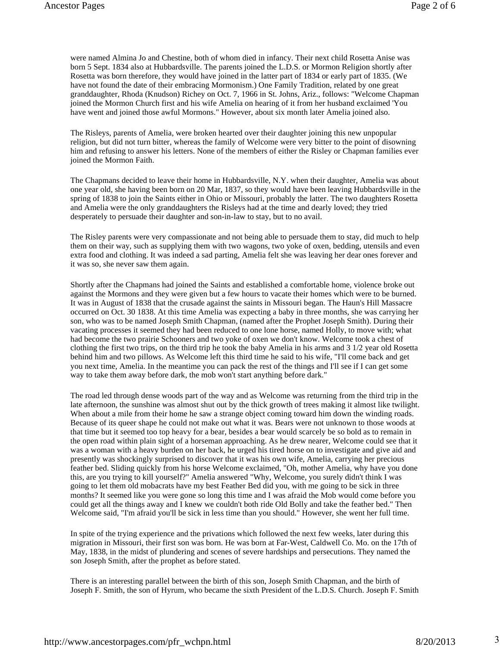were named Almina Jo and Chestine, both of whom died in infancy. Their next child Rosetta Anise was born 5 Sept. 1834 also at Hubbardsville. The parents joined the L.D.S. or Mormon Religion shortly after Rosetta was born therefore, they would have joined in the latter part of 1834 or early part of 1835. (We have not found the date of their embracing Mormonism.) One Family Tradition, related by one great granddaughter, Rhoda (Knudson) Richey on Oct. 7, 1966 in St. Johns, Ariz., follows: "Welcome Chapman joined the Mormon Church first and his wife Amelia on hearing of it from her husband exclaimed 'You have went and joined those awful Mormons." However, about six month later Amelia joined also.

The Risleys, parents of Amelia, were broken hearted over their daughter joining this new unpopular religion, but did not turn bitter, whereas the family of Welcome were very bitter to the point of disowning him and refusing to answer his letters. None of the members of either the Risley or Chapman families ever joined the Mormon Faith.

The Chapmans decided to leave their home in Hubbardsville, N.Y. when their daughter, Amelia was about one year old, she having been born on 20 Mar, 1837, so they would have been leaving Hubbardsville in the spring of 1838 to join the Saints either in Ohio or Missouri, probably the latter. The two daughters Rosetta and Amelia were the only granddaughters the Risleys had at the time and dearly loved; they tried desperately to persuade their daughter and son-in-law to stay, but to no avail.

The Risley parents were very compassionate and not being able to persuade them to stay, did much to help them on their way, such as supplying them with two wagons, two yoke of oxen, bedding, utensils and even extra food and clothing. It was indeed a sad parting, Amelia felt she was leaving her dear ones forever and it was so, she never saw them again.

Shortly after the Chapmans had joined the Saints and established a comfortable home, violence broke out against the Mormons and they were given but a few hours to vacate their homes which were to be burned. It was in August of 1838 that the crusade against the saints in Missouri began. The Haun's Hill Massacre occurred on Oct. 30 1838. At this time Amelia was expecting a baby in three months, she was carrying her son, who was to be named Joseph Smith Chapman, (named after the Prophet Joseph Smith). During their vacating processes it seemed they had been reduced to one lone horse, named Holly, to move with; what had become the two prairie Schooners and two yoke of oxen we don't know. Welcome took a chest of clothing the first two trips, on the third trip he took the baby Amelia in his arms and 3 1/2 year old Rosetta behind him and two pillows. As Welcome left this third time he said to his wife, "I'll come back and get you next time, Amelia. In the meantime you can pack the rest of the things and I'll see if I can get some way to take them away before dark, the mob won't start anything before dark."

The road led through dense woods part of the way and as Welcome was returning from the third trip in the late afternoon, the sunshine was almost shut out by the thick growth of trees making it almost like twilight. When about a mile from their home he saw a strange object coming toward him down the winding roads. Because of its queer shape he could not make out what it was. Bears were not unknown to those woods at that time but it seemed too top heavy for a bear, besides a bear would scarcely be so bold as to remain in the open road within plain sight of a horseman approaching. As he drew nearer, Welcome could see that it was a woman with a heavy burden on her back, he urged his tired horse on to investigate and give aid and presently was shockingly surprised to discover that it was his own wife, Amelia, carrying her precious feather bed. Sliding quickly from his horse Welcome exclaimed, "Oh, mother Amelia, why have you done this, are you trying to kill yourself?" Amelia answered "Why, Welcome, you surely didn't think I was going to let them old mobacrats have my best Feather Bed did you, with me going to be sick in three months? It seemed like you were gone so long this time and I was afraid the Mob would come before you could get all the things away and I knew we couldn't both ride Old Bolly and take the feather bed." Then Welcome said, "I'm afraid you'll be sick in less time than you should." However, she went her full time.

In spite of the trying experience and the privations which followed the next few weeks, later during this migration in Missouri, their first son was born. He was born at Far-West, Caldwell Co. Mo. on the 17th of May, 1838, in the midst of plundering and scenes of severe hardships and persecutions. They named the son Joseph Smith, after the prophet as before stated.

There is an interesting parallel between the birth of this son, Joseph Smith Chapman, and the birth of Joseph F. Smith, the son of Hyrum, who became the sixth President of the L.D.S. Church. Joseph F. Smith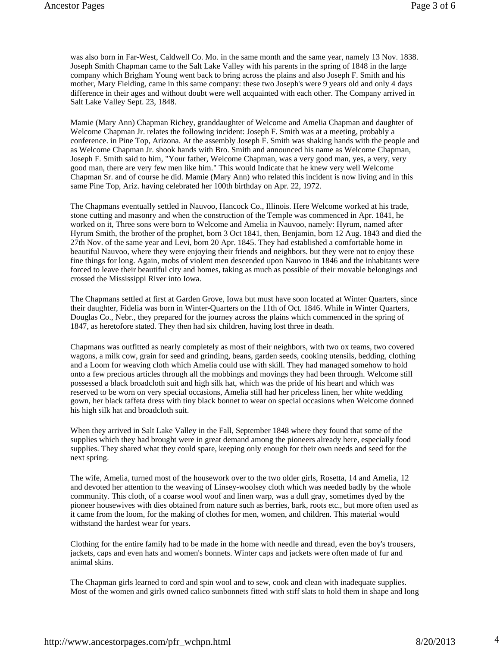was also born in Far-West, Caldwell Co. Mo. in the same month and the same year, namely 13 Nov. 1838. Joseph Smith Chapman came to the Salt Lake Valley with his parents in the spring of 1848 in the large company which Brigham Young went back to bring across the plains and also Joseph F. Smith and his mother, Mary Fielding, came in this same company: these two Joseph's were 9 years old and only 4 days difference in their ages and without doubt were well acquainted with each other. The Company arrived in Salt Lake Valley Sept. 23, 1848.

Mamie (Mary Ann) Chapman Richey, granddaughter of Welcome and Amelia Chapman and daughter of Welcome Chapman Jr. relates the following incident: Joseph F. Smith was at a meeting, probably a conference. in Pine Top, Arizona. At the assembly Joseph F. Smith was shaking hands with the people and as Welcome Chapman Jr. shook hands with Bro. Smith and announced his name as Welcome Chapman, Joseph F. Smith said to him, "Your father, Welcome Chapman, was a very good man, yes, a very, very good man, there are very few men like him." This would Indicate that he knew very well Welcome Chapman Sr. and of course he did. Mamie (Mary Ann) who related this incident is now living and in this same Pine Top, Ariz. having celebrated her 100th birthday on Apr. 22, 1972.

The Chapmans eventually settled in Nauvoo, Hancock Co., Illinois. Here Welcome worked at his trade, stone cutting and masonry and when the construction of the Temple was commenced in Apr. 1841, he worked on it, Three sons were born to Welcome and Amelia in Nauvoo, namely: Hyrum, named after Hyrum Smith, the brother of the prophet, born 3 Oct 1841, then, Benjamin, born 12 Aug. 1843 and died the 27th Nov. of the same year and Levi, born 20 Apr. 1845. They had established a comfortable home in beautiful Nauvoo, where they were enjoying their friends and neighbors. but they were not to enjoy these fine things for long. Again, mobs of violent men descended upon Nauvoo in 1846 and the inhabitants were forced to leave their beautiful city and homes, taking as much as possible of their movable belongings and crossed the Mississippi River into Iowa.

The Chapmans settled at first at Garden Grove, Iowa but must have soon located at Winter Quarters, since their daughter, Fidelia was born in Winter-Quarters on the 11th of Oct. 1846. While in Winter Quarters, Douglas Co., Nebr., they prepared for the journey across the plains which commenced in the spring of 1847, as heretofore stated. They then had six children, having lost three in death.

Chapmans was outfitted as nearly completely as most of their neighbors, with two ox teams, two covered wagons, a milk cow, grain for seed and grinding, beans, garden seeds, cooking utensils, bedding, clothing and a Loom for weaving cloth which Amelia could use with skill. They had managed somehow to hold onto a few precious articles through all the mobbings and movings they had been through. Welcome still possessed a black broadcloth suit and high silk hat, which was the pride of his heart and which was reserved to be worn on very special occasions, Amelia still had her priceless linen, her white wedding gown, her black taffeta dress with tiny black bonnet to wear on special occasions when Welcome donned his high silk hat and broadcloth suit.

When they arrived in Salt Lake Valley in the Fall, September 1848 where they found that some of the supplies which they had brought were in great demand among the pioneers already here, especially food supplies. They shared what they could spare, keeping only enough for their own needs and seed for the next spring.

The wife, Amelia, turned most of the housework over to the two older girls, Rosetta, 14 and Amelia, 12 and devoted her attention to the weaving of Linsey-woolsey cloth which was needed badly by the whole community. This cloth, of a coarse wool woof and linen warp, was a dull gray, sometimes dyed by the pioneer housewives with dies obtained from nature such as berries, bark, roots etc., but more often used as it came from the loom, for the making of clothes for men, women, and children. This material would withstand the hardest wear for years.

Clothing for the entire family had to be made in the home with needle and thread, even the boy's trousers, jackets, caps and even hats and women's bonnets. Winter caps and jackets were often made of fur and animal skins.

The Chapman girls learned to cord and spin wool and to sew, cook and clean with inadequate supplies. Most of the women and girls owned calico sunbonnets fitted with stiff slats to hold them in shape and long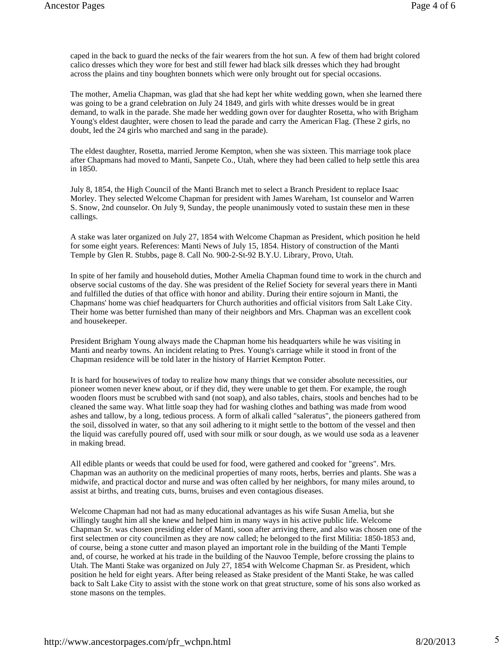caped in the back to guard the necks of the fair wearers from the hot sun. A few of them had bright colored calico dresses which they wore for best and still fewer had black silk dresses which they had brought across the plains and tiny boughten bonnets which were only brought out for special occasions.

The mother, Amelia Chapman, was glad that she had kept her white wedding gown, when she learned there was going to be a grand celebration on July 24 1849, and girls with white dresses would be in great demand, to walk in the parade. She made her wedding gown over for daughter Rosetta, who with Brigham Young's eldest daughter, were chosen to lead the parade and carry the American Flag. (These 2 girls, no doubt, led the 24 girls who marched and sang in the parade).

The eldest daughter, Rosetta, married Jerome Kempton, when she was sixteen. This marriage took place after Chapmans had moved to Manti, Sanpete Co., Utah, where they had been called to help settle this area in 1850.

July 8, 1854, the High Council of the Manti Branch met to select a Branch President to replace Isaac Morley. They selected Welcome Chapman for president with James Wareham, 1st counselor and Warren S. Snow, 2nd counselor. On July 9, Sunday, the people unanimously voted to sustain these men in these callings.

A stake was later organized on July 27, 1854 with Welcome Chapman as President, which position he held for some eight years. References: Manti News of July 15, 1854. History of construction of the Manti Temple by Glen R. Stubbs, page 8. Call No. 900-2-St-92 B.Y.U. Library, Provo, Utah.

In spite of her family and household duties, Mother Amelia Chapman found time to work in the church and observe social customs of the day. She was president of the Relief Society for several years there in Manti and fulfilled the duties of that office with honor and ability. During their entire sojourn in Manti, the Chapmans' home was chief headquarters for Church authorities and official visitors from Salt Lake City. Their home was better furnished than many of their neighbors and Mrs. Chapman was an excellent cook and housekeeper.

President Brigham Young always made the Chapman home his headquarters while he was visiting in Manti and nearby towns. An incident relating to Pres. Young's carriage while it stood in front of the Chapman residence will be told later in the history of Harriet Kempton Potter.

It is hard for housewives of today to realize how many things that we consider absolute necessities, our pioneer women never knew about, or if they did, they were unable to get them. For example, the rough wooden floors must be scrubbed with sand (not soap), and also tables, chairs, stools and benches had to be cleaned the same way. What little soap they had for washing clothes and bathing was made from wood ashes and tallow, by a long, tedious process. A form of alkali called "saleratus", the pioneers gathered from the soil, dissolved in water, so that any soil adhering to it might settle to the bottom of the vessel and then the liquid was carefully poured off, used with sour milk or sour dough, as we would use soda as a leavener in making bread.

All edible plants or weeds that could be used for food, were gathered and cooked for "greens". Mrs. Chapman was an authority on the medicinal properties of many roots, herbs, berries and plants. She was a midwife, and practical doctor and nurse and was often called by her neighbors, for many miles around, to assist at births, and treating cuts, burns, bruises and even contagious diseases.

Welcome Chapman had not had as many educational advantages as his wife Susan Amelia, but she willingly taught him all she knew and helped him in many ways in his active public life. Welcome Chapman Sr. was chosen presiding elder of Manti, soon after arriving there, and also was chosen one of the first selectmen or city councilmen as they are now called; he belonged to the first Militia: 1850-1853 and, of course, being a stone cutter and mason played an important role in the building of the Manti Temple and, of course, he worked at his trade in the building of the Nauvoo Temple, before crossing the plains to Utah. The Manti Stake was organized on July 27, 1854 with Welcome Chapman Sr. as President, which position he held for eight years. After being released as Stake president of the Manti Stake, he was called back to Salt Lake City to assist with the stone work on that great structure, some of his sons also worked as stone masons on the temples.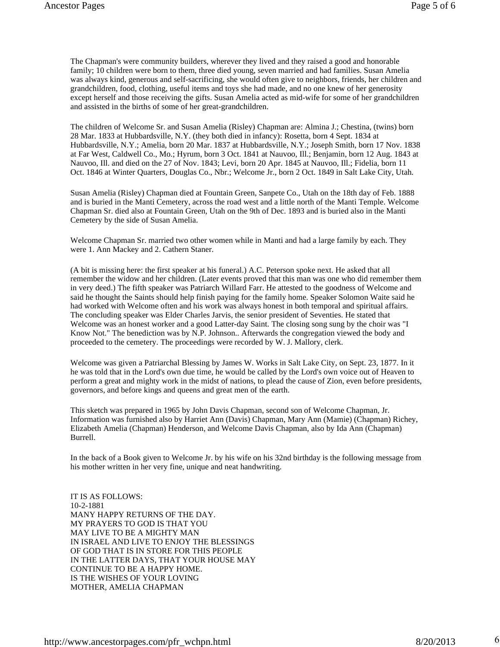The Chapman's were community builders, wherever they lived and they raised a good and honorable family; 10 children were born to them, three died young, seven married and had families. Susan Amelia was always kind, generous and self-sacrificing, she would often give to neighbors, friends, her children and grandchildren, food, clothing, useful items and toys she had made, and no one knew of her generosity except herself and those receiving the gifts. Susan Amelia acted as mid-wife for some of her grandchildren and assisted in the births of some of her great-grandchildren.

The children of Welcome Sr. and Susan Amelia (Risley) Chapman are: Almina J.; Chestina, (twins) born 28 Mar. 1833 at Hubbardsville, N.Y. (they both died in infancy): Rosetta, born 4 Sept. 1834 at Hubbardsville, N.Y.; Amelia, born 20 Mar. 1837 at Hubbardsville, N.Y.; Joseph Smith, born 17 Nov. 1838 at Far West, Caldwell Co., Mo.; Hyrum, born 3 Oct. 1841 at Nauvoo, Ill.; Benjamin, born 12 Aug. 1843 at Nauvoo, Ill. and died on the 27 of Nov. 1843; Levi, born 20 Apr. 1845 at Nauvoo, Ill.; Fidelia, born 11 Oct. 1846 at Winter Quarters, Douglas Co., Nbr.; Welcome Jr., born 2 Oct. 1849 in Salt Lake City, Utah.

Susan Amelia (Risley) Chapman died at Fountain Green, Sanpete Co., Utah on the 18th day of Feb. 1888 and is buried in the Manti Cemetery, across the road west and a little north of the Manti Temple. Welcome Chapman Sr. died also at Fountain Green, Utah on the 9th of Dec. 1893 and is buried also in the Manti Cemetery by the side of Susan Amelia.

Welcome Chapman Sr. married two other women while in Manti and had a large family by each. They were 1. Ann Mackey and 2. Cathern Staner.

(A bit is missing here: the first speaker at his funeral.) A.C. Peterson spoke next. He asked that all remember the widow and her children. (Later events proved that this man was one who did remember them in very deed.) The fifth speaker was Patriarch Willard Farr. He attested to the goodness of Welcome and said he thought the Saints should help finish paying for the family home. Speaker Solomon Waite said he had worked with Welcome often and his work was always honest in both temporal and spiritual affairs. The concluding speaker was Elder Charles Jarvis, the senior president of Seventies. He stated that Welcome was an honest worker and a good Latter-day Saint. The closing song sung by the choir was "I Know Not." The benediction was by N.P. Johnson.. Afterwards the congregation viewed the body and proceeded to the cemetery. The proceedings were recorded by W. J. Mallory, clerk.

Welcome was given a Patriarchal Blessing by James W. Works in Salt Lake City, on Sept. 23, 1877. In it he was told that in the Lord's own due time, he would be called by the Lord's own voice out of Heaven to perform a great and mighty work in the midst of nations, to plead the cause of Zion, even before presidents, governors, and before kings and queens and great men of the earth.

This sketch was prepared in 1965 by John Davis Chapman, second son of Welcome Chapman, Jr. Information was furnished also by Harriet Ann (Davis) Chapman, Mary Ann (Mamie) (Chapman) Richey, Elizabeth Amelia (Chapman) Henderson, and Welcome Davis Chapman, also by Ida Ann (Chapman) Burrell.

In the back of a Book given to Welcome Jr. by his wife on his 32nd birthday is the following message from his mother written in her very fine, unique and neat handwriting.

IT IS AS FOLLOWS: 10-2-1881 MANY HAPPY RETURNS OF THE DAY. MY PRAYERS TO GOD IS THAT YOU MAY LIVE TO BE A MIGHTY MAN IN ISRAEL AND LIVE TO ENJOY THE BLESSINGS OF GOD THAT IS IN STORE FOR THIS PEOPLE IN THE LATTER DAYS, THAT YOUR HOUSE MAY CONTINUE TO BE A HAPPY HOME. IS THE WISHES OF YOUR LOVING MOTHER, AMELIA CHAPMAN